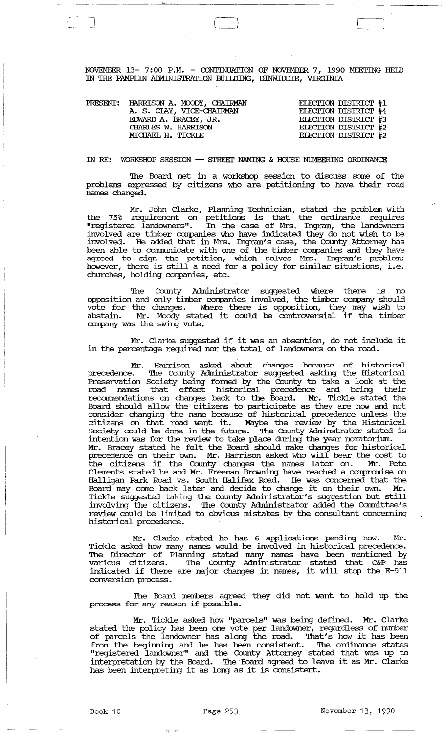NOVEMBER 13- 7:00 P.M. - CONTINUATION OF NOVEMBER 7, 1990 MEETING HELD IN THE PAMPLIN AIMINIS'IRATION BUIIDING, DINWIDDIE, VIRGINIA

 $\begin{pmatrix} 1 & 1 \\ 1 & 1 \end{pmatrix}$ 

|  | PRESENT: HARRISON A. MOODY, CHAIRMAN | ELECTION DISTRICT #1        |
|--|--------------------------------------|-----------------------------|
|  | A. S. CIAY, VICE-CHAIRMAN            | ELECTION DISTRICT #4        |
|  | EDWARD A. BRACEY, JR.                | ELECTION DISTRICT #3        |
|  | CHARLES W. HARRISON                  | ELECTION DISTRICT #2        |
|  | MICHAEL H. TICKLE                    | <b>ELECTION DISTRICT #2</b> |

IN *RE:* WORKSHOP SESSION **--** S'I'REEI' NAMING & HOUSE NUMBERING ORDINANCE

'!he Board met in a workshop session to discuss some of the problems expressed by citizens who are petitioning to have their road names changed.

Mr. John Clarke, Planning Technician, stated the problem with the 75% requirement on petitions is that the ordinance requires "registered landowners". In the case of Mrs. Ingram, the landowners involved are timber companies who have indicated they do not wish to be involved. He added that in Mrs. Ingram's case, the County Attorney has been able to communicate with one of the timber companies and they have agreed to sign the petition, which solves Mrs. Ingram's problem; however, there is still a need for a policy for similar situations, i.e. churches, holding companies, etc.

The County Administrator suggested where there is opposition and only timber companies involved, the timber company should vote for the changes. Where there is opposition, they may wish to abstain. Mr. Moody stated it could be controversial if the timber company was the swing vote.

Mr. Clarke suggested if it was an absention, do not include it in the percentage required nor the total of landowners on the road.

Mr. Harrison asked about changes because of historical precedence. The County Administrator suggested asking the Historical Prese:rvation Society being fonned by the County to take a look at the road names that effect historical precedence and bring their recommendations on changes back to the Board. Mr. Tickle stated the Board should allow the citizens to participate as they are now and not consider changing the name because of historical precedence unless the citizens on that road want it. Maybe the review by the Historical Society could be done in the future. '!he County Adrninstrator stated is intention was for the review to take place during the year moratorium. Mr. Bracey stated he felt the Board should make changes for historical precedence on their own. Mr. Harrison asked who will bear the cost to the citizens if the County changes the names later on. Mr. Pete Clements stated he and Mr. Freeman Browning have reached a compromise on Halligan Park Road vs. South Halifax Road. He was concerned that the Board may come back later and decide to change it on their own. Tickle suggested taking the County Administrator's suggestion but still involving the citizens. The County Administrator added the Committee's review could be limited to obvious mistakes by the consultant concerning historical precedence.

Mr. Clarke stated he has 6 applications pending now. Mr. Tickle asked how many names would be involved in historical precedence. The Director of Planning stated many names have been mentioned by various citizens. '!he County Administrator stated that C&P has indicated if there are major changes in names, it will stop the E-911 conversion process.

The Board members agreed they did not want to hold up the process for any reason if possible.

Mr. Tickle asked how "parcels" was being defined. Mr. Clarke stated the policy has been one vote per landowner, regardless of number of parcels the landowner has along the road. That's how it has been from the beginning and he has been consistent. The ordinance states "registered landowner" and the County Attorney stated that was up to interpretation by the Board. '!he Board agreed to leave it as Mr. Clarke has been interpreting it as long as it is consistent.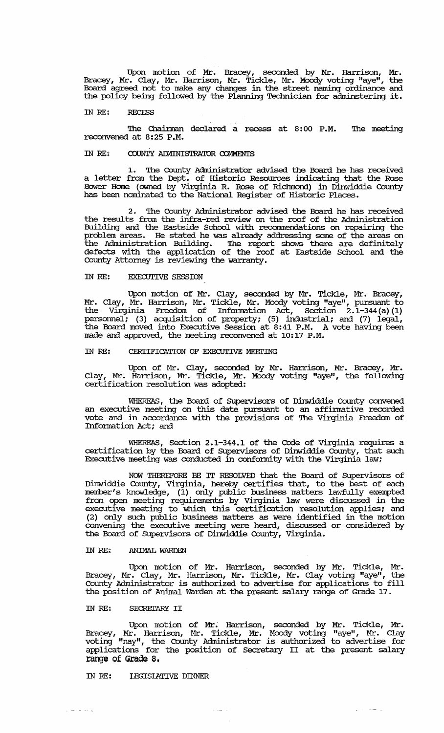Upon motion of Mr. Bracey, seconded by Mr. Harrison, Mr. Bracey, Mr. Clay, Mr. Harrison, Mr. Tickle, Mr. Moody voting "aye", the Board agreed not to make any changes in the street naming ordinance and the policy being followed by the Plarming Technician for adminstering it.

#### IN RE: RECESS

The Chairman declared a recess at 8:00 P.M. The meeting recorwened at 8:25 P.M.

# IN RE: COUNTY ADMINISTRATOR COMMENTS

1. The County Administrator advised the Board he has received a letter from the Dept. of Historic Resources indicating that the Rose Bower Home (owned by Virginia R. Rose of Richmond) in Dinwiddie COunty has been nominated to the National Register of Historic Places.

2. The County Administrator advised the Board he has received the results from the infra-red review on the roof of the Administration Building and the Eastside School with recommendations on repairing the problem areas. He stated he was already addressing some of the areas on the Administration Building. The report shows there are definitely defects with the application of the roof at Eastside School and the County Attorney is reviewing the warranty.

### IN RE: EXECUTIVE SESSION

Upon motion of Mr. Clay, seconded by Mr. Tickle, Mr. Bracey, Mr. Clay, Mr. Harrison, Mr. Tickle, Mr. Moody voting "aye", pursuant to the Virginia Freedom of Infonnation Act, Section 2.1-344 (a) (1) personnel; (3) acquisition of property; (5) industrial; and (7) legal, the Board moved into Executive Session at 8:41 P.M. A vote having been made and approved, the meeting recorwened at 10:17 P.M.

### IN RE: CERTIFICATION OF EXECUTIVE MEETING

Upon of Mr. Clay, seconded by Mr. Harrison, Mr. Bracey, Mr. Clay, Mr. Harrison, Mr. Tickle, Mr. Moody voting "aye", the following certification resolution was adopted:

WHEREAS, the Board of SUpervisors of Dinwiddie County corwened an executive meeting on this date pursuant to an affinnative recorded vote and in accordance with the provisions of '!he Virginia Freedom of Information Act; and

WHEREAS, Section 2.1-344.1 of the Code of Virginia requires a certification by the Board of SUpervisors of Dinwiddie County, that such Executive meeting was conducted in confonnity with the Virginia law;

NOW THEREFORE BE IT RESOLVED that the Board of Supervisors of Dinwiddie County, Virginia, hereby certifies that, to the best of each member's knowledge, (1) only public business matters lawfully exempted from open meeting requirements by Virginia law were discussed in the executive meeting to which this certification resolution applies; and (2) only such public business matters as were identified in the motion corwening the executive meeting were heard, discussed or considered by the Board of SUpervisors of Dinwiddie County, Virginia.

#### IN RE: ANIMAL WARDEN

Upon motion of Mr. Harrison, seconded by Mr. Tickle, Mr. Bracey, Mr. Clay, Mr. Harrison, Mr. Tickle, Mr. Clay voting "aye", the county Administrator is authorized to advertise for applications to fill the position of Animal Warden at the present salary range of Grade 17.

## IN RE: SECRETARY II

Upon motion of Mr'- Harrison, seconded by Mr. Tickle, Mr. Bracey, Mr. Harrison, Mr. Tickle, Mr. Moody voting "aye", Mr. Clay voting "nay", the county Administrator is authorized to advertise for voing  $\lim_{T\to\infty}$  , and county numerication is demonstrated to develope for range of Grade 8.

 $\hat{\tau}_\mathrm{c}$  and  $\hat{\tau}_\mathrm{c}$ 

## IN RE: LEGISLATIVE DINNER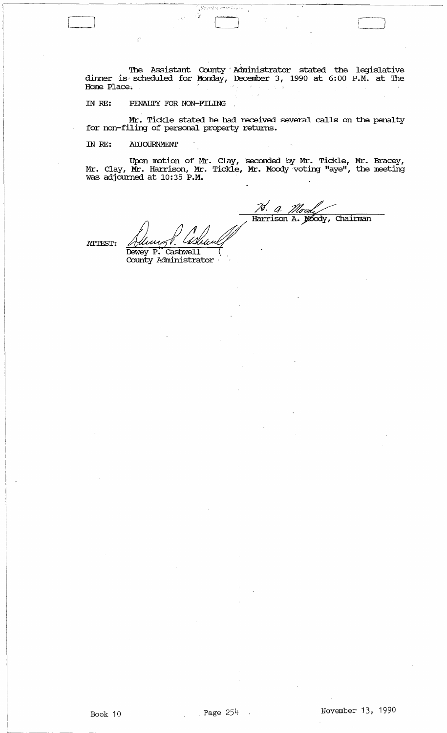'!he Assistant County· Administrator stated the legislative dinner is scheduled for Monday, December 3, 1990 at 6:00 P.M. at The Home Place.

 $\mathcal{H}^{\mathcal{U} \mathcal{U}}$ 

o

# IN RE: PENALTY FOR NON-FILING

Mr. Tickle stated he had received several calls on the penalty for non-filing of personal property returns.

IN RE: ADJOURNMENT

Upon motion of Mr. Clay, seconded by Mr. Tickle, Mr. Bracey, Mr. Clay, Mr. Harrison, Mr. Tickle, Mr. Moody voting "aye", the meeting was adjourned at 10:35 P.M.

ATTEST:

7d. a. Harrison A. Mody, Chairman

Dewey P. Cashwell County Administrator

Book 10  $Page 254$  . November 13, 1990